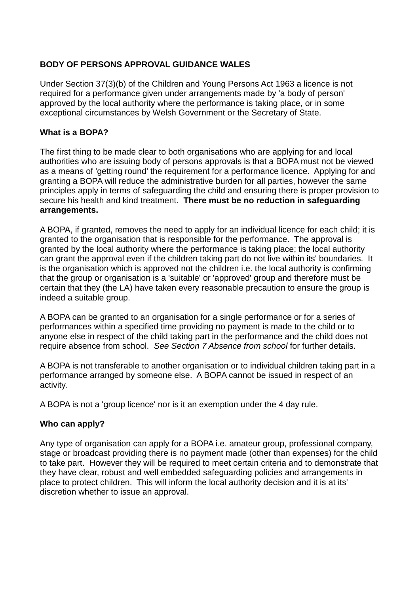# **BODY OF PERSONS APPROVAL GUIDANCE WALES**

Under Section 37(3)(b) of the Children and Young Persons Act 1963 a licence is not required for a performance given under arrangements made by 'a body of person' approved by the local authority where the performance is taking place, or in some exceptional circumstances by Welsh Government or the Secretary of State.

## **What is a BOPA?**

The first thing to be made clear to both organisations who are applying for and local authorities who are issuing body of persons approvals is that a BOPA must not be viewed as a means of 'getting round' the requirement for a performance licence. Applying for and granting a BOPA will reduce the administrative burden for all parties, however the same principles apply in terms of safeguarding the child and ensuring there is proper provision to secure his health and kind treatment. **There must be no reduction in safeguarding arrangements.**

A BOPA, if granted, removes the need to apply for an individual licence for each child; it is granted to the organisation that is responsible for the performance. The approval is granted by the local authority where the performance is taking place; the local authority can grant the approval even if the children taking part do not live within its' boundaries. It is the organisation which is approved not the children i.e. the local authority is confirming that the group or organisation is a 'suitable' or 'approved' group and therefore must be certain that they (the LA) have taken every reasonable precaution to ensure the group is indeed a suitable group.

A BOPA can be granted to an organisation for a single performance or for a series of performances within a specified time providing no payment is made to the child or to anyone else in respect of the child taking part in the performance and the child does not require absence from school. *See Section 7 Absence from school* for further details.

A BOPA is not transferable to another organisation or to individual children taking part in a performance arranged by someone else. A BOPA cannot be issued in respect of an activity.

A BOPA is not a 'group licence' nor is it an exemption under the 4 day rule.

# **Who can apply?**

Any type of organisation can apply for a BOPA i.e. amateur group, professional company, stage or broadcast providing there is no payment made (other than expenses) for the child to take part. However they will be required to meet certain criteria and to demonstrate that they have clear, robust and well embedded safeguarding policies and arrangements in place to protect children. This will inform the local authority decision and it is at its' discretion whether to issue an approval.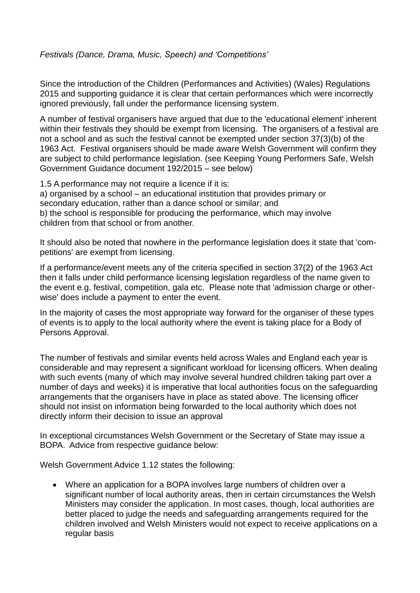## *Festivals (Dance, Drama, Music, Speech) and 'Competitions'*

Since the introduction of the Children (Performances and Activities) (Wales) Regulations 2015 and supporting guidance it is clear that certain performances which were incorrectly ignored previously, fall under the performance licensing system.

A number of festival organisers have argued that due to the 'educational element' inherent within their festivals they should be exempt from licensing. The organisers of a festival are not a school and as such the festival cannot be exempted under section 37(3)(b) of the 1963 Act. Festival organisers should be made aware Welsh Government will confirm they are subject to child performance legislation. (see Keeping Young Performers Safe, Welsh Government Guidance document 192/2015 – see below)

1.5 A performance may not require a licence if it is: a) organised by a school – an educational institution that provides primary or secondary education, rather than a dance school or similar; and b) the school is responsible for producing the performance, which may involve children from that school or from another.

It should also be noted that nowhere in the performance legislation does it state that 'competitions' are exempt from licensing.

If a performance/event meets any of the criteria specified in section 37(2) of the 1963 Act then it falls under child performance licensing legislation regardless of the name given to the event e.g. festival, competition, gala etc. Please note that 'admission charge or otherwise' does include a payment to enter the event.

In the majority of cases the most appropriate way forward for the organiser of these types of events is to apply to the local authority where the event is taking place for a Body of Persons Approval.

The number of festivals and similar events held across Wales and England each year is considerable and may represent a significant workload for licensing officers. When dealing with such events (many of which may involve several hundred children taking part over a number of days and weeks) it is imperative that local authorities focus on the safeguarding arrangements that the organisers have in place as stated above. The licensing officer should not insist on information being forwarded to the local authority which does not directly inform their decision to issue an approval

In exceptional circumstances Welsh Government or the Secretary of State may issue a BOPA. Advice from respective guidance below:

Welsh Government Advice 1.12 states the following:

 Where an application for a BOPA involves large numbers of children over a significant number of local authority areas, then in certain circumstances the Welsh Ministers may consider the application. In most cases, though, local authorities are better placed to judge the needs and safeguarding arrangements required for the children involved and Welsh Ministers would not expect to receive applications on a regular basis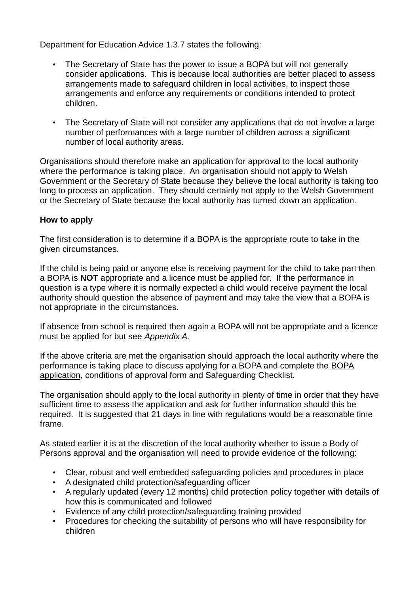Department for Education Advice 1.3.7 states the following:

- The Secretary of State has the power to issue a BOPA but will not generally consider applications. This is because local authorities are better placed to assess arrangements made to safeguard children in local activities, to inspect those arrangements and enforce any requirements or conditions intended to protect children.
- The Secretary of State will not consider any applications that do not involve a large number of performances with a large number of children across a significant number of local authority areas.

Organisations should therefore make an application for approval to the local authority where the performance is taking place. An organisation should not apply to Welsh Government or the Secretary of State because they believe the local authority is taking too long to process an application. They should certainly not apply to the Welsh Government or the Secretary of State because the local authority has turned down an application.

### **How to apply**

The first consideration is to determine if a BOPA is the appropriate route to take in the given circumstances.

If the child is being paid or anyone else is receiving payment for the child to take part then a BOPA is **NOT** appropriate and a licence must be applied for. If the performance in question is a type where it is normally expected a child would receive payment the local authority should question the absence of payment and may take the view that a BOPA is not appropriate in the circumstances.

If absence from school is required then again a BOPA will not be appropriate and a licence must be applied for but see *Appendix A.*

If the above criteria are met the organisation should approach the local authority where the performance is taking place to discuss applying for a BOPA and complete the BOPA application, conditions of approval form and Safeguarding Checklist.

The organisation should apply to the local authority in plenty of time in order that they have sufficient time to assess the application and ask for further information should this be required. It is suggested that 21 days in line with regulations would be a reasonable time frame.

As stated earlier it is at the discretion of the local authority whether to issue a Body of Persons approval and the organisation will need to provide evidence of the following:

- Clear, robust and well embedded safeguarding policies and procedures in place
- A designated child protection/safeguarding officer
- A regularly updated (every 12 months) child protection policy together with details of how this is communicated and followed
- Evidence of any child protection/safeguarding training provided
- Procedures for checking the suitability of persons who will have responsibility for children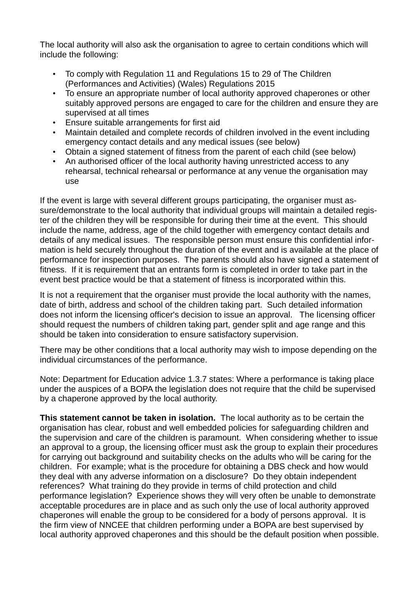The local authority will also ask the organisation to agree to certain conditions which will include the following:

- To comply with Regulation 11 and Regulations 15 to 29 of The Children (Performances and Activities) (Wales) Regulations 2015
- To ensure an appropriate number of local authority approved chaperones or other suitably approved persons are engaged to care for the children and ensure they are supervised at all times
- Ensure suitable arrangements for first aid
- Maintain detailed and complete records of children involved in the event including emergency contact details and any medical issues (see below)
- Obtain a signed statement of fitness from the parent of each child (see below)
- An authorised officer of the local authority having unrestricted access to any rehearsal, technical rehearsal or performance at any venue the organisation may use

If the event is large with several different groups participating, the organiser must assure/demonstrate to the local authority that individual groups will maintain a detailed register of the children they will be responsible for during their time at the event. This should include the name, address, age of the child together with emergency contact details and details of any medical issues. The responsible person must ensure this confidential information is held securely throughout the duration of the event and is available at the place of performance for inspection purposes. The parents should also have signed a statement of fitness. If it is requirement that an entrants form is completed in order to take part in the event best practice would be that a statement of fitness is incorporated within this.

It is not a requirement that the organiser must provide the local authority with the names, date of birth, address and school of the children taking part. Such detailed information does not inform the licensing officer's decision to issue an approval. The licensing officer should request the numbers of children taking part, gender split and age range and this should be taken into consideration to ensure satisfactory supervision.

There may be other conditions that a local authority may wish to impose depending on the individual circumstances of the performance.

Note: Department for Education advice 1.3.7 states: Where a performance is taking place under the auspices of a BOPA the legislation does not require that the child be supervised by a chaperone approved by the local authority.

**This statement cannot be taken in isolation.** The local authority as to be certain the organisation has clear, robust and well embedded policies for safeguarding children and the supervision and care of the children is paramount. When considering whether to issue an approval to a group, the licensing officer must ask the group to explain their procedures for carrying out background and suitability checks on the adults who will be caring for the children. For example; what is the procedure for obtaining a DBS check and how would they deal with any adverse information on a disclosure? Do they obtain independent references? What training do they provide in terms of child protection and child performance legislation? Experience shows they will very often be unable to demonstrate acceptable procedures are in place and as such only the use of local authority approved chaperones will enable the group to be considered for a body of persons approval. It is the firm view of NNCEE that children performing under a BOPA are best supervised by local authority approved chaperones and this should be the default position when possible.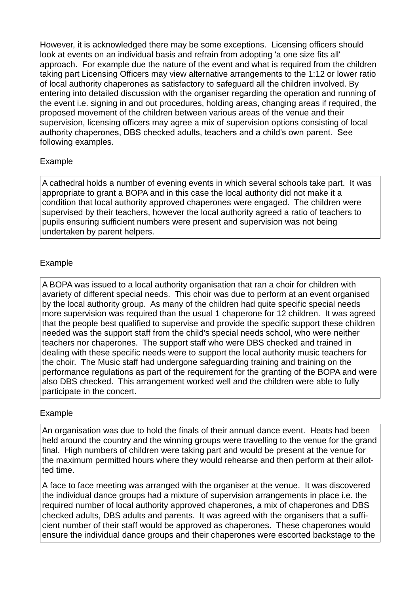However, it is acknowledged there may be some exceptions. Licensing officers should look at events on an individual basis and refrain from adopting 'a one size fits all' approach. For example due the nature of the event and what is required from the children taking part Licensing Officers may view alternative arrangements to the 1:12 or lower ratio of local authority chaperones as satisfactory to safeguard all the children involved. By entering into detailed discussion with the organiser regarding the operation and running of the event i.e. signing in and out procedures, holding areas, changing areas if required, the proposed movement of the children between various areas of the venue and their supervision, licensing officers may agree a mix of supervision options consisting of local authority chaperones, DBS checked adults, teachers and a child's own parent. See following examples.

### Example

A cathedral holds a number of evening events in which several schools take part. It was appropriate to grant a BOPA and in this case the local authority did not make it a condition that local authority approved chaperones were engaged. The children were supervised by their teachers, however the local authority agreed a ratio of teachers to pupils ensuring sufficient numbers were present and supervision was not being undertaken by parent helpers.

### Example

A BOPA was issued to a local authority organisation that ran a choir for children with avariety of different special needs. This choir was due to perform at an event organised by the local authority group. As many of the children had quite specific special needs more supervision was required than the usual 1 chaperone for 12 children. It was agreed that the people best qualified to supervise and provide the specific support these children needed was the support staff from the child's special needs school, who were neither teachers nor chaperones. The support staff who were DBS checked and trained in dealing with these specific needs were to support the local authority music teachers for the choir. The Music staff had undergone safeguarding training and training on the performance regulations as part of the requirement for the granting of the BOPA and were also DBS checked. This arrangement worked well and the children were able to fully participate in the concert.

#### Example

An organisation was due to hold the finals of their annual dance event. Heats had been held around the country and the winning groups were travelling to the venue for the grand final. High numbers of children were taking part and would be present at the venue for the maximum permitted hours where they would rehearse and then perform at their allotted time.

A face to face meeting was arranged with the organiser at the venue. It was discovered the individual dance groups had a mixture of supervision arrangements in place i.e. the required number of local authority approved chaperones, a mix of chaperones and DBS checked adults, DBS adults and parents. It was agreed with the organisers that a sufficient number of their staff would be approved as chaperones. These chaperones would ensure the individual dance groups and their chaperones were escorted backstage to the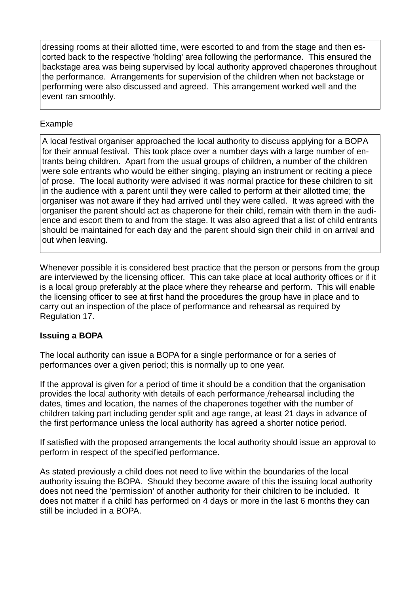dressing rooms at their allotted time, were escorted to and from the stage and then escorted back to the respective 'holding' area following the performance. This ensured the backstage area was being supervised by local authority approved chaperones throughout the performance. Arrangements for supervision of the children when not backstage or performing were also discussed and agreed. This arrangement worked well and the event ran smoothly.

#### Example

A local festival organiser approached the local authority to discuss applying for a BOPA for their annual festival. This took place over a number days with a large number of entrants being children. Apart from the usual groups of children, a number of the children were sole entrants who would be either singing, playing an instrument or reciting a piece of prose. The local authority were advised it was normal practice for these children to sit in the audience with a parent until they were called to perform at their allotted time; the organiser was not aware if they had arrived until they were called. It was agreed with the organiser the parent should act as chaperone for their child, remain with them in the audience and escort them to and from the stage. It was also agreed that a list of child entrants should be maintained for each day and the parent should sign their child in on arrival and out when leaving.

Whenever possible it is considered best practice that the person or persons from the group are interviewed by the licensing officer. This can take place at local authority offices or if it is a local group preferably at the place where they rehearse and perform. This will enable the licensing officer to see at first hand the procedures the group have in place and to carry out an inspection of the place of performance and rehearsal as required by Regulation 17.

# **Issuing a BOPA**

The local authority can issue a BOPA for a single performance or for a series of performances over a given period; this is normally up to one year.

If the approval is given for a period of time it should be a condition that the organisation provides the local authority with details of each performance /rehearsal including the dates, times and location, the names of the chaperones together with the number of children taking part including gender split and age range, at least 21 days in advance of the first performance unless the local authority has agreed a shorter notice period.

If satisfied with the proposed arrangements the local authority should issue an approval to perform in respect of the specified performance.

As stated previously a child does not need to live within the boundaries of the local authority issuing the BOPA. Should they become aware of this the issuing local authority does not need the 'permission' of another authority for their children to be included. It does not matter if a child has performed on 4 days or more in the last 6 months they can still be included in a BOPA.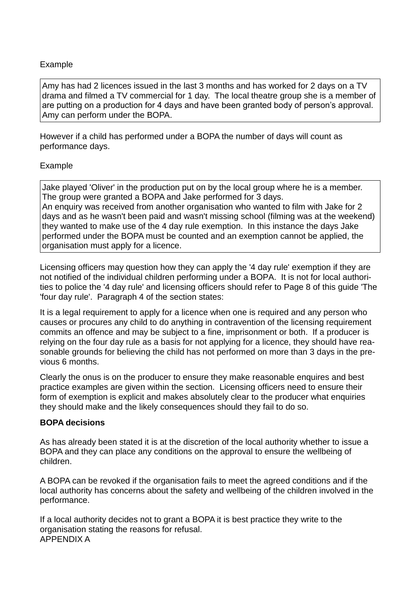### Example

Amy has had 2 licences issued in the last 3 months and has worked for 2 days on a TV drama and filmed a TV commercial for 1 day. The local theatre group she is a member of are putting on a production for 4 days and have been granted body of person's approval. Amy can perform under the BOPA.

However if a child has performed under a BOPA the number of days will count as performance days.

#### Example

Jake played 'Oliver' in the production put on by the local group where he is a member. The group were granted a BOPA and Jake performed for 3 days. An enquiry was received from another organisation who wanted to film with Jake for 2 days and as he wasn't been paid and wasn't missing school (filming was at the weekend) they wanted to make use of the 4 day rule exemption. In this instance the days Jake performed under the BOPA must be counted and an exemption cannot be applied, the organisation must apply for a licence.

Licensing officers may question how they can apply the '4 day rule' exemption if they are not notified of the individual children performing under a BOPA. It is not for local authorities to police the '4 day rule' and licensing officers should refer to Page 8 of this guide 'The 'four day rule'. Paragraph 4 of the section states:

It is a legal requirement to apply for a licence when one is required and any person who causes or procures any child to do anything in contravention of the licensing requirement commits an offence and may be subject to a fine, imprisonment or both. If a producer is relying on the four day rule as a basis for not applying for a licence, they should have reasonable grounds for believing the child has not performed on more than 3 days in the previous 6 months.

Clearly the onus is on the producer to ensure they make reasonable enquires and best practice examples are given within the section. Licensing officers need to ensure their form of exemption is explicit and makes absolutely clear to the producer what enquiries they should make and the likely consequences should they fail to do so.

#### **BOPA decisions**

As has already been stated it is at the discretion of the local authority whether to issue a BOPA and they can place any conditions on the approval to ensure the wellbeing of children.

A BOPA can be revoked if the organisation fails to meet the agreed conditions and if the local authority has concerns about the safety and wellbeing of the children involved in the performance.

If a local authority decides not to grant a BOPA it is best practice they write to the organisation stating the reasons for refusal. APPENDIX A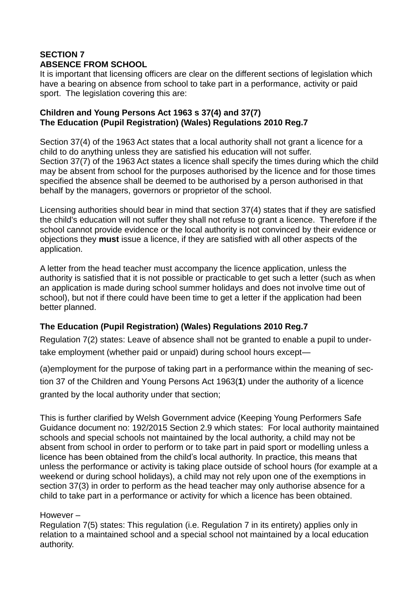# **SECTION 7 ABSENCE FROM SCHOOL**

It is important that licensing officers are clear on the different sections of legislation which have a bearing on absence from school to take part in a performance, activity or paid sport. The legislation covering this are:

### **Children and Young Persons Act 1963 s 37(4) and 37(7) The Education (Pupil Registration) (Wales) Regulations 2010 Reg.7**

Section 37(4) of the 1963 Act states that a local authority shall not grant a licence for a child to do anything unless they are satisfied his education will not suffer. Section 37(7) of the 1963 Act states a licence shall specify the times during which the child may be absent from school for the purposes authorised by the licence and for those times specified the absence shall be deemed to be authorised by a person authorised in that behalf by the managers, governors or proprietor of the school.

Licensing authorities should bear in mind that section 37(4) states that if they are satisfied the child's education will not suffer they shall not refuse to grant a licence. Therefore if the school cannot provide evidence or the local authority is not convinced by their evidence or objections they **must** issue a licence, if they are satisfied with all other aspects of the application.

A letter from the head teacher must accompany the licence application, unless the authority is satisfied that it is not possible or practicable to get such a letter (such as when an application is made during school summer holidays and does not involve time out of school), but not if there could have been time to get a letter if the application had been better planned.

# **The Education (Pupil Registration) (Wales) Regulations 2010 Reg.7**

Regulation 7(2) states: Leave of absence shall not be granted to enable a pupil to undertake employment (whether paid or unpaid) during school hours except—

(a)employment for the purpose of taking part in a performance within the meaning of section 37 of the Children and Young Persons Act 1963(**[1](http://www.legislation.gov.uk/uksi/2006/1751/regulation/7/made#f00007)**) under the authority of a licence granted by the local authority under that section;

This is further clarified by Welsh Government advice (Keeping Young Performers Safe Guidance document no: 192/2015 Section 2.9 which states: For local authority maintained schools and special schools not maintained by the local authority, a child may not be absent from school in order to perform or to take part in paid sport or modelling unless a licence has been obtained from the child's local authority. In practice, this means that unless the performance or activity is taking place outside of school hours (for example at a weekend or during school holidays), a child may not rely upon one of the exemptions in section 37(3) in order to perform as the head teacher may only authorise absence for a child to take part in a performance or activity for which a licence has been obtained.

# However –

Regulation 7(5) states: This regulation (i.e. Regulation 7 in its entirety) applies only in relation to a maintained school and a special school not maintained by a local education authority.